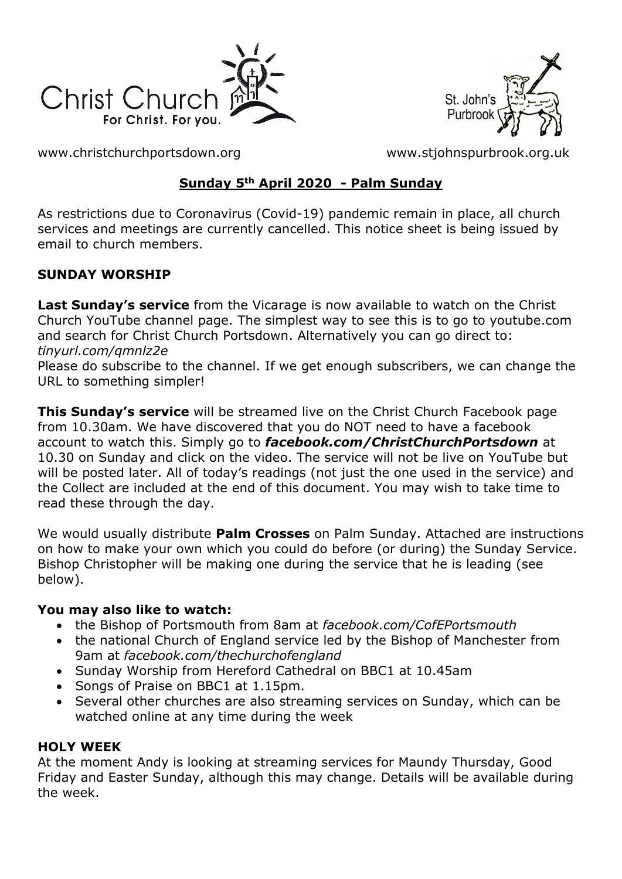



[www.christchurchportsdown.org](http://www.christchurchportsdown.org/) [www.stjohnspurbrook.org.uk](http://www.stjohnspurbrook.org.uk/)

### **Sunday 5th April 2020 - Palm Sunday**

As restrictions due to Coronavirus (Covid-19) pandemic remain in place, all church services and meetings are currently cancelled. This notice sheet is being issued by email to church members.

### **SUNDAY WORSHIP**

**Last Sunday's service** from the Vicarage is now available to watch on the Christ Church YouTube channel page. The simplest way to see this is to go to youtube.com and search for Christ Church Portsdown. Alternatively you can go direct to: *tinyurl.com/qmnlz2e*

Please do subscribe to the channel. If we get enough subscribers, we can change the URL to something simpler!

**This Sunday's service** will be streamed live on the Christ Church Facebook page from 10.30am. We have discovered that you do NOT need to have a facebook account to watch this. Simply go to *[facebook.com/ChristChurchPortsdown](http://www.facebook.com/ChristChurchPortsdown%20at%2010.30)* at [10.30](http://www.facebook.com/ChristChurchPortsdown%20at%2010.30) on Sunday and click on the video. The service will not be live on YouTube but will be posted later. All of today's readings (not just the one used in the service) and the Collect are included at the end of this document. You may wish to take time to read these through the day.

We would usually distribute **Palm Crosses** on Palm Sunday. Attached are instructions on how to make your own which you could do before (or during) the Sunday Service. Bishop Christopher will be making one during the service that he is leading (see below).

### **You may also like to watch:**

- the Bishop of Portsmouth from 8am at *[facebook.com/CofEPortsmouth](https://www.facebook.com/CofEPortsmouth)*
- the national Church of England service led by the Bishop of Manchester from 9am at *facebook.com/thechurchofengland*
- Sunday Worship from Hereford Cathedral on BBC1 at 10.45am
- Songs of Praise on BBC1 at 1.15pm.
- Several other churches are also streaming services on Sunday, which can be watched online at any time during the week

### **HOLY WEEK**

At the moment Andy is looking at streaming services for Maundy Thursday, Good Friday and Easter Sunday, although this may change. Details will be available during the week.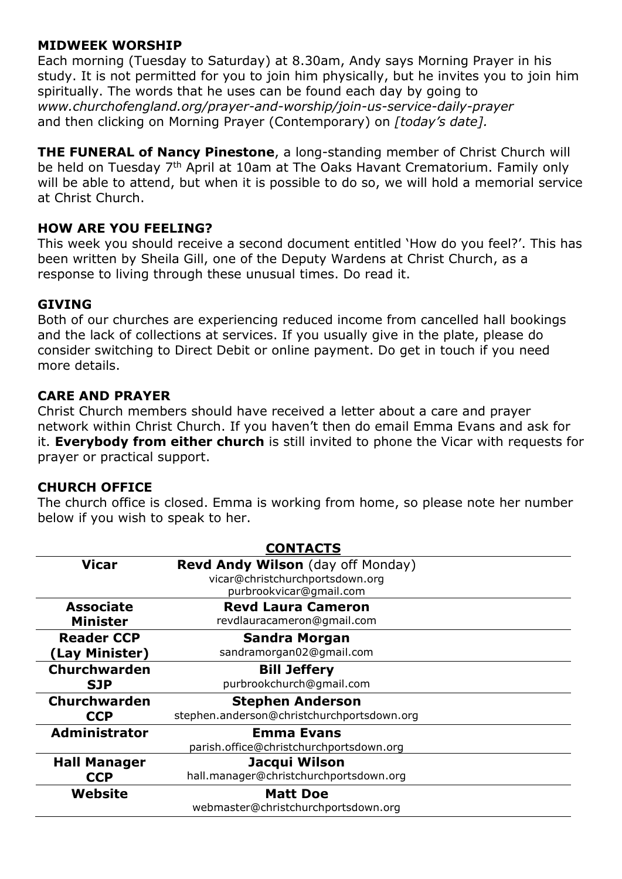#### **MIDWEEK WORSHIP**

Each morning (Tuesday to Saturday) at 8.30am, Andy says Morning Prayer in his study. It is not permitted for you to join him physically, but he invites you to join him spiritually. The words that he uses can be found each day by going to *[www.churchofengland.org/prayer-and-worship/join-us-service-daily-prayer](http://www.churchofengland.org/prayer-and-worship/join-us-service-daily-prayer)* and then clicking on Morning Prayer (Contemporary) on *[today's date].*

**THE FUNERAL of Nancy Pinestone**, a long-standing member of Christ Church will be held on Tuesday 7<sup>th</sup> April at 10am at The Oaks Havant Crematorium. Family only will be able to attend, but when it is possible to do so, we will hold a memorial service at Christ Church.

#### **HOW ARE YOU FEELING?**

This week you should receive a second document entitled 'How do you feel?'. This has been written by Sheila Gill, one of the Deputy Wardens at Christ Church, as a response to living through these unusual times. Do read it.

#### **GIVING**

Both of our churches are experiencing reduced income from cancelled hall bookings and the lack of collections at services. If you usually give in the plate, please do consider switching to Direct Debit or online payment. Do get in touch if you need more details.

#### **CARE AND PRAYER**

Christ Church members should have received a letter about a care and prayer network within Christ Church. If you haven't then do email Emma Evans and ask for it. **Everybody from either church** is still invited to phone the Vicar with requests for prayer or practical support.

#### **CHURCH OFFICE**

The church office is closed. Emma is working from home, so please note her number below if you wish to speak to her.

| <b>CONTACTS</b>      |                                            |
|----------------------|--------------------------------------------|
| <b>Vicar</b>         | <b>Revd Andy Wilson</b> (day off Monday)   |
|                      | vicar@christchurchportsdown.org            |
|                      | purbrookvicar@gmail.com                    |
| <b>Associate</b>     | <b>Revd Laura Cameron</b>                  |
| <b>Minister</b>      | revdlauracameron@gmail.com                 |
| <b>Reader CCP</b>    | <b>Sandra Morgan</b>                       |
| (Lay Minister)       | sandramorgan02@gmail.com                   |
| Churchwarden         | <b>Bill Jeffery</b>                        |
| <b>SJP</b>           | purbrookchurch@gmail.com                   |
| Churchwarden         | <b>Stephen Anderson</b>                    |
| <b>CCP</b>           | stephen.anderson@christchurchportsdown.org |
| <b>Administrator</b> | <b>Emma Evans</b>                          |
|                      | parish.office@christchurchportsdown.org    |
| <b>Hall Manager</b>  | Jacqui Wilson                              |
| <b>CCP</b>           | hall.manager@christchurchportsdown.org     |
| Website              | <b>Matt Doe</b>                            |
|                      | webmaster@christchurchportsdown.org        |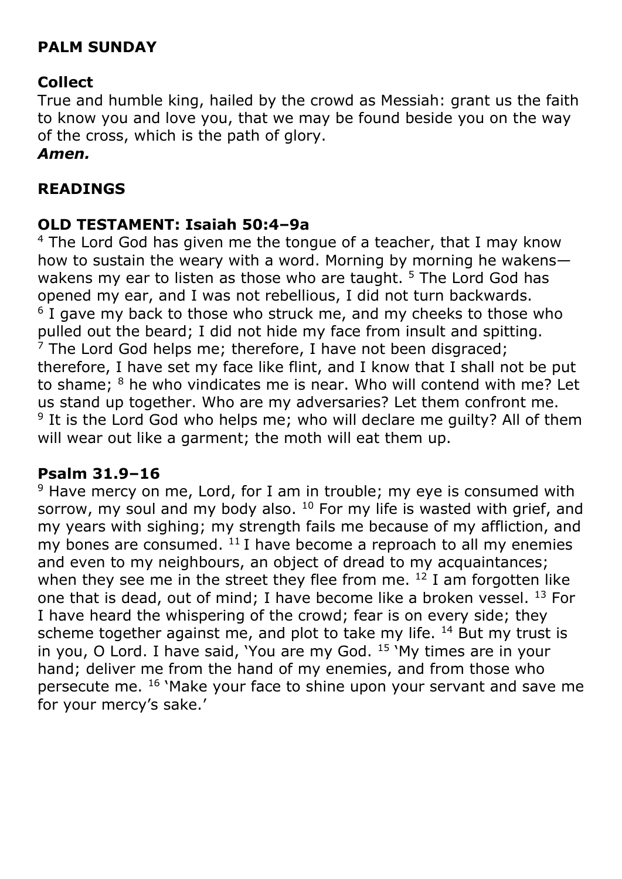# **PALM SUNDAY**

# **Collect**

True and humble king, hailed by the crowd as Messiah: grant us the faith to know you and love you, that we may be found beside you on the way of the cross, which is the path of glory.

### *Amen.*

## **READINGS**

## **OLD TESTAMENT: Isaiah 50:4–9a**

 $4$  The Lord God has given me the tongue of a teacher, that I may know how to sustain the weary with a word. Morning by morning he wakens wakens my ear to listen as those who are taught.  $5$  The Lord God has opened my ear, and I was not rebellious, I did not turn backwards. <sup>6</sup> I gave my back to those who struck me, and my cheeks to those who pulled out the beard; I did not hide my face from insult and spitting.  $<sup>7</sup>$  The Lord God helps me; therefore, I have not been disgraced;</sup> therefore, I have set my face like flint, and I know that I shall not be put to shame; <sup>8</sup> he who vindicates me is near. Who will contend with me? Let us stand up together. Who are my adversaries? Let them confront me. <sup>9</sup> It is the Lord God who helps me; who will declare me guilty? All of them will wear out like a garment; the moth will eat them up.

### **Psalm 31.9–16**

 $9$  Have mercy on me, Lord, for I am in trouble; my eye is consumed with sorrow, my soul and my body also.  $10$  For my life is wasted with grief, and my years with sighing; my strength fails me because of my affliction, and my bones are consumed.  $11$  I have become a reproach to all my enemies and even to my neighbours, an object of dread to my acquaintances; when they see me in the street they flee from me.  $12$  I am forgotten like one that is dead, out of mind; I have become like a broken vessel. <sup>13</sup> For I have heard the whispering of the crowd; fear is on every side; they scheme together against me, and plot to take my life.  $14$  But my trust is in you, O Lord. I have said, 'You are my God. <sup>15</sup> 'My times are in your hand; deliver me from the hand of my enemies, and from those who persecute me. <sup>16</sup> 'Make your face to shine upon your servant and save me for your mercy's sake.'